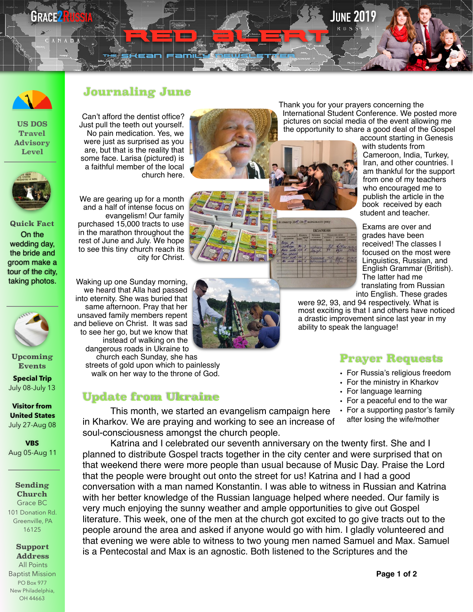# **GRACE 2RUSSIA Security of the security of the security of the security of the second security of the second security of the second second second second second second second second second second second second second seco**

**US DOS Travel Advisory Level** 



**Quick Fact**  On the wedding day, the bride and groom make a tour of the city, taking photos.



**Upcoming Events** 

**Special Trip**  July 08-July 13

**Visitor from United States** July 27-Aug 08

**VBS** Aug 05-Aug 11

#### **Sending Church** Grace BC 101 Donation Rd. Greenville, PA 16125

### **Support Address**

 All Points Baptist Mission PO Box 977 New Philadelphia, OH 44663

### **Journaling June**

Can't afford the dentist office? Just pull the teeth out yourself. No pain medication. Yes, we were just as surprised as you are, but that is the reality that some face. Larisa (pictured) is a faithful member of the local church here.



th<sup>e</sup> Skean family Newsletter

RED GILLEN

We are gearing up for a month and a half of intense focus on evangelism! Our family purchased 15,000 tracts to use in the marathon throughout the rest of June and July. We hope to see this tiny church reach its city for Christ.

Waking up one Sunday morning, we heard that Alla had passed into eternity. She was buried that same afternoon. Pray that her unsaved family members repent and believe on Christ. It was sad to see her go, but we know that instead of walking on the dangerous roads in Ukraine to

church each Sunday, she has streets of gold upon which to painlessly walk on her way to the throne of God.

### **Update from Ukraine**



Thank you for your prayers concerning the International Student Conference. We posted more pictures on social media of the event allowing me the opportunity to share a good deal of the Gospel

EKZAMENI

account starting in Genesis with students from Cameroon, India, Turkey, Iran, and other countries. I am thankful for the support from one of my teachers who encouraged me to publish the article in the book received by each student and teacher.

Exams are over and grades have been received! The classes I focused on the most were Linguistics, Russian, and English Grammar (British). The latter had me translating from Russian into English. These grades

were 92, 93, and 94 respectively. What is most exciting is that I and others have noticed a drastic improvement since last year in my ability to speak the language!

## **Prayer Requests**

- For Russia's religious freedom
- For the ministry in Kharkov
- For language learning
- For a peaceful end to the war
- For a supporting pastor's family after losing the wife/mother

This month, we started an evangelism campaign here in Kharkov. We are praying and working to see an increase of soul-consciousness amongst the church people.

Katrina and I celebrated our seventh anniversary on the twenty first. She and I planned to distribute Gospel tracts together in the city center and were surprised that on that weekend there were more people than usual because of Music Day. Praise the Lord that the people were brought out onto the street for us! Katrina and I had a good conversation with a man named Konstantin. I was able to witness in Russian and Katrina with her better knowledge of the Russian language helped where needed. Our family is very much enjoying the sunny weather and ample opportunities to give out Gospel literature. This week, one of the men at the church got excited to go give tracts out to the people around the area and asked if anyone would go with him. I gladly volunteered and that evening we were able to witness to two young men named Samuel and Max. Samuel is a Pentecostal and Max is an agnostic. Both listened to the Scriptures and the